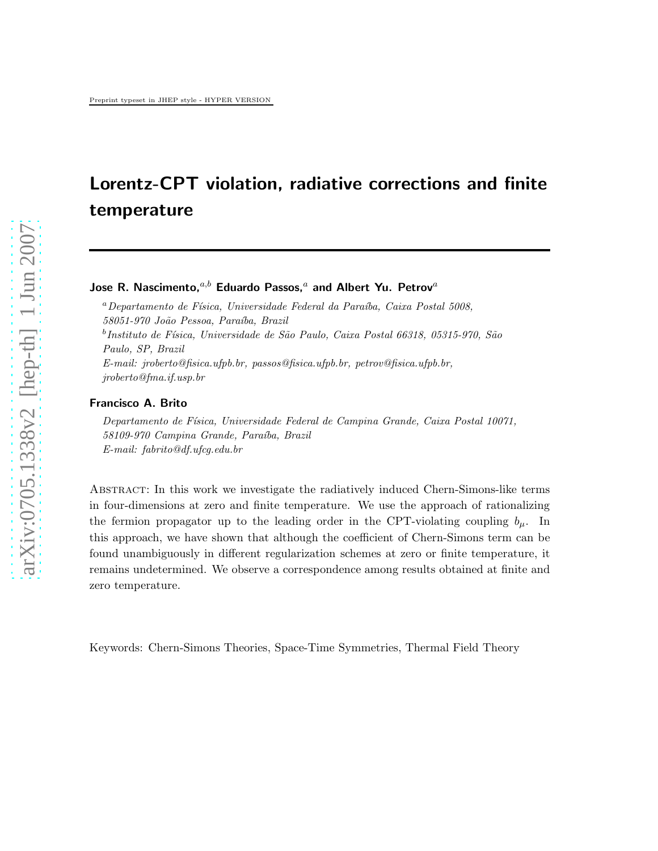# Lorentz-CPT violation, radiative corrections and finite temperature

# Jose R. Nascimento. $a,b$  Eduardo Passos. $a$  and Albert Yu. Petrov $a$

 $a$ Departamento de Física, Universidade Federal da Paraíba, Caixa Postal 5008, 58051-970 João Pessoa, Paraíba, Brazil <sup>b</sup>Instituto de Física, Universidade de São Paulo, Caixa Postal 66318, 05315-970, São Paulo, SP, Brazil E-mail: jroberto@fisica.ufpb.br, passos@fisica.ufpb.br, petrov@fisica.ufpb.br, jroberto@fma.if.usp.br

#### Francisco A. Brito

Departamento de Física, Universidade Federal de Campina Grande, Caixa Postal 10071, 58109-970 Campina Grande, Paraíba, Brazil E-mail: fabrito@df.ufcg.edu.br

Abstract: In this work we investigate the radiatively induced Chern-Simons-like terms in four-dimensions at zero and finite temperature. We use the approach of rationalizing the fermion propagator up to the leading order in the CPT-violating coupling  $b_{\mu}$ . In this approach, we have shown that although the coefficient of Chern-Simons term can be found unambiguously in different regularization schemes at zero or finite temperature, it remains undetermined. We observe a correspondence among results obtained at finite and zero temperature.

Keywords: Chern-Simons Theories, Space-Time Symmetries, Thermal Field Theory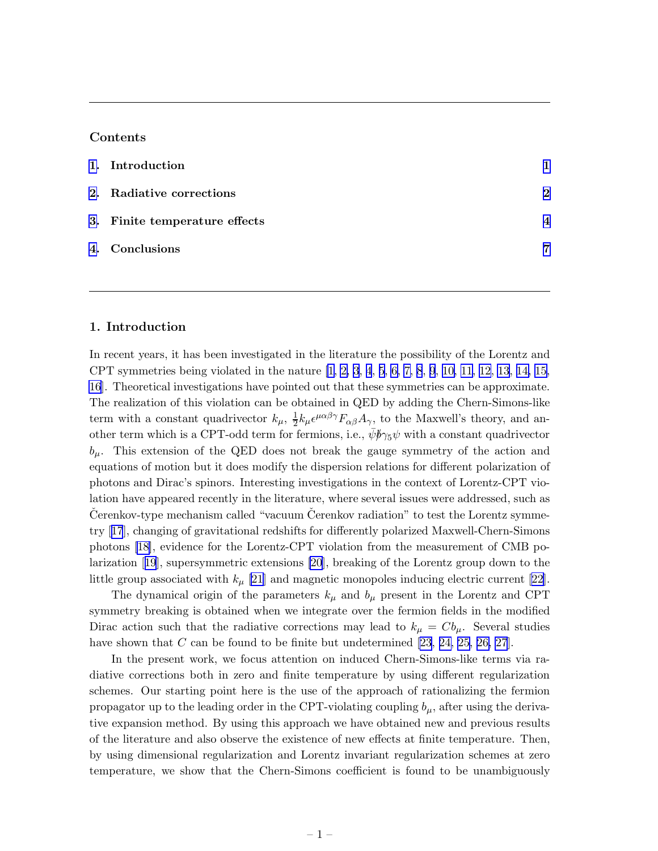### Contents

| 1. Introduction               |                        |
|-------------------------------|------------------------|
| 2. Radiative corrections      | $\mathcal{D}$          |
| 3. Finite temperature effects | $\boldsymbol{\Lambda}$ |
| 4. Conclusions                | 7                      |
|                               |                        |

## 1. Introduction

In recent years, it has been investigated in the literature the possibility of the Lorentz and CPT symmetries being violated in the nature [\[1, 2, 3](#page-8-0), [4](#page-8-0), [5](#page-8-0), [6, 7, 8](#page-8-0), [9](#page-8-0), [10, 11, 12](#page-8-0), [13](#page-8-0), [14, 15,](#page-8-0) [16](#page-8-0)]. Theoretical investigations have pointed out that these symmetries can be approximate. The realization of this violation can be obtained in QED by adding the Chern-Simons-like term with a constant quadrivector  $k_{\mu}$ ,  $\frac{1}{2}$  $\frac{1}{2}k_{\mu}\epsilon^{\mu\alpha\beta\gamma}F_{\alpha\beta}A_{\gamma}$ , to the Maxwell's theory, and another term which is a CPT-odd term for fermions, i.e.,  $\bar{\psi}$  $\bar{p}\gamma_5\psi$  with a constant quadrivector  $b_{\mu}$ . This extension of the QED does not break the gauge symmetry of the action and equations of motion but it does modify the dispersion relations for different polarization of photons and Dirac's spinors. Interesting investigations in the context of Lorentz-CPT violation have appeared recently in the literature, where several issues were addressed, such as Cerenkov-type mechanism called "vacuum Cerenkov radiation" to test the Lorentz symmetry[[17](#page-8-0)], changing of gravitational redshifts for differently polarized Maxwell-Chern-Simons photons[[18\]](#page-8-0), evidence for the Lorentz-CPT violation from the measurement of CMB polarization[[19](#page-8-0)], supersymmetric extensions [\[20](#page-8-0)], breaking of the Lorentz group down to the littlegroup associated with  $k_{\mu}$  [\[21](#page-8-0)] and magnetic monopoles inducing electric current [[22\]](#page-8-0).

The dynamical origin of the parameters  $k_{\mu}$  and  $b_{\mu}$  present in the Lorentz and CPT symmetry breaking is obtained when we integrate over the fermion fields in the modified Dirac action such that the radiative corrections may lead to  $k_{\mu} = C b_{\mu}$ . Several studies have shown that C can be found to be finite but undetermined  $[23, 24, 25, 26, 27]$  $[23, 24, 25, 26, 27]$  $[23, 24, 25, 26, 27]$  $[23, 24, 25, 26, 27]$  $[23, 24, 25, 26, 27]$ .

In the present work, we focus attention on induced Chern-Simons-like terms via radiative corrections both in zero and finite temperature by using different regularization schemes. Our starting point here is the use of the approach of rationalizing the fermion propagator up to the leading order in the CPT-violating coupling  $b_{\mu}$ , after using the derivative expansion method. By using this approach we have obtained new and previous results of the literature and also observe the existence of new effects at finite temperature. Then, by using dimensional regularization and Lorentz invariant regularization schemes at zero temperature, we show that the Chern-Simons coefficient is found to be unambiguously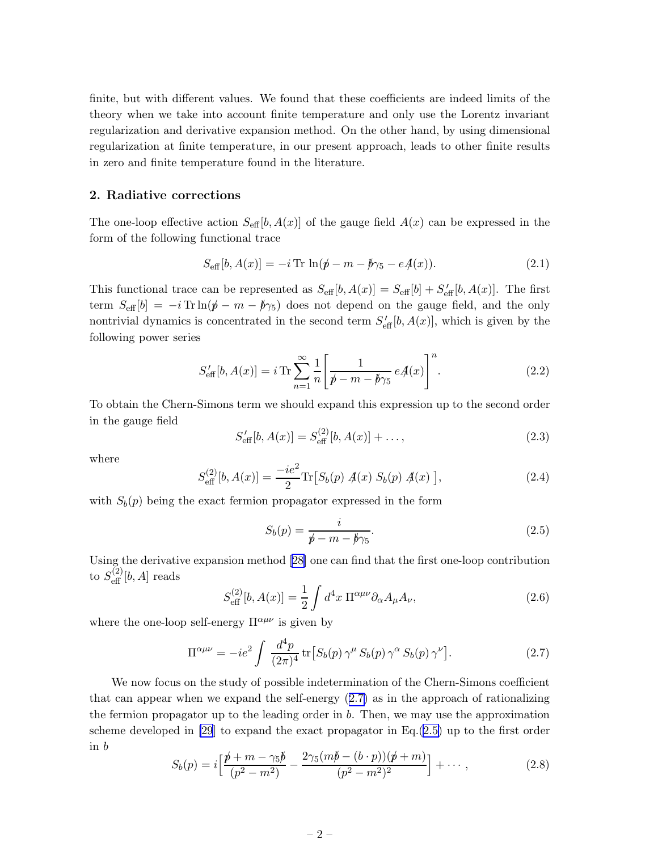<span id="page-2-0"></span>finite, but with different values. We found that these coefficients are indeed limits of the theory when we take into account finite temperature and only use the Lorentz invariant regularization and derivative expansion method. On the other hand, by using dimensional regularization at finite temperature, in our present approach, leads to other finite results in zero and finite temperature found in the literature.

#### 2. Radiative corrections

The one-loop effective action  $S_{\text{eff}}[b, A(x)]$  of the gauge field  $A(x)$  can be expressed in the form of the following functional trace

$$
S_{\text{eff}}[b, A(x)] = -i \text{Tr} \ln(\phi - m - \phi_{\text{75}} - eA(x)). \tag{2.1}
$$

This functional trace can be represented as  $S_{\text{eff}}[b, A(x)] = S_{\text{eff}}[b] + S'_{\text{eff}}[b, A(x)]$ . The first term  $S_{\text{eff}}[b] = -i \text{Tr} \ln(\cancel{p} - m - \cancel{p}_{5})$  does not depend on the gauge field, and the only nontrivial dynamics is concentrated in the second term  $S_{\text{eff}}^{\prime}[b, A(x)]$ , which is given by the following power series

$$
S'_{\text{eff}}[b, A(x)] = i \operatorname{Tr} \sum_{n=1}^{\infty} \frac{1}{n} \left[ \frac{1}{\not p - m - \not p \gamma_5} eA(x) \right]^n.
$$
 (2.2)

To obtain the Chern-Simons term we should expand this expression up to the second order in the gauge field

$$
S'_{\text{eff}}[b, A(x)] = S_{\text{eff}}^{(2)}[b, A(x)] + \dots,
$$
\n(2.3)

where

$$
S_{\text{eff}}^{(2)}[b, A(x)] = \frac{-ie^2}{2} \text{Tr}\big[S_b(p) \, \mathcal{A}(x) \, S_b(p) \, \mathcal{A}(x) \big],\tag{2.4}
$$

with  $S_b(p)$  being the exact fermion propagator expressed in the form

$$
S_b(p) = \frac{i}{p - m - \cancel{b}\gamma_5}.\tag{2.5}
$$

Using the derivative expansion method[[28\]](#page-9-0) one can find that the first one-loop contribution to  $S_{\text{eff}}^{(2)}[b,A]$  reads

$$
S_{\text{eff}}^{(2)}[b, A(x)] = \frac{1}{2} \int d^4x \, \Pi^{\alpha\mu\nu} \partial_\alpha A_\mu A_\nu,\tag{2.6}
$$

where the one-loop self-energy  $\Pi^{\alpha\mu\nu}$  is given by

$$
\Pi^{\alpha\mu\nu} = -ie^2 \int \frac{d^4p}{(2\pi)^4} \operatorname{tr} \left[ S_b(p) \gamma^\mu S_b(p) \gamma^\alpha S_b(p) \gamma^\nu \right]. \tag{2.7}
$$

We now focus on the study of possible indetermination of the Chern-Simons coefficient that can appear when we expand the self-energy (2.7) as in the approach of rationalizing the fermion propagator up to the leading order in b. Then, we may use the approximation scheme developed in [\[29](#page-9-0)] to expand the exact propagator in Eq.(2.5) up to the first order in b

$$
S_b(p) = i \left[ \frac{\not p + m - \gamma_5 \not p}{(p^2 - m^2)} - \frac{2\gamma_5(m\not p - (b \cdot p))(\not p + m)}{(p^2 - m^2)^2} \right] + \cdots, \qquad (2.8)
$$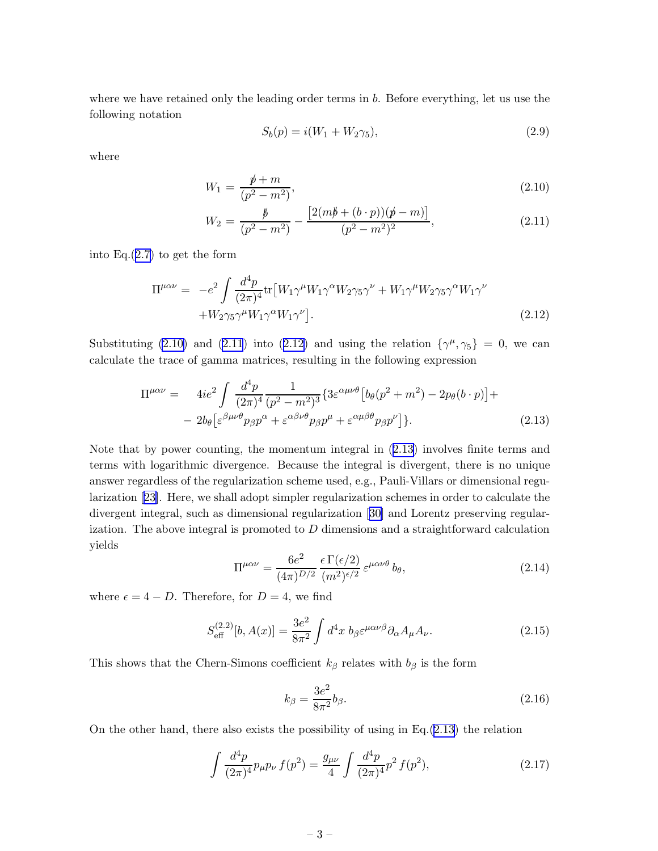<span id="page-3-0"></span>where we have retained only the leading order terms in b. Before everything, let us use the following notation

$$
S_b(p) = i(W_1 + W_2 \gamma_5), \tag{2.9}
$$

where

$$
W_1 = \frac{\rlap/v + m}{(p^2 - m^2)},\tag{2.10}
$$

$$
W_2 = \frac{\cancel{b}}{(p^2 - m^2)} - \frac{\left[2(m\cancel{b} + (b \cdot p))(\cancel{p} - m)\right]}{(p^2 - m^2)^2},\tag{2.11}
$$

into Eq. $(2.7)$  $(2.7)$  to get the form

$$
\Pi^{\mu\alpha\nu} = -e^2 \int \frac{d^4 p}{(2\pi)^4} \text{tr} \left[ W_1 \gamma^\mu W_1 \gamma^\alpha W_2 \gamma_5 \gamma^\nu + W_1 \gamma^\mu W_2 \gamma_5 \gamma^\alpha W_1 \gamma^\nu + W_2 \gamma_5 \gamma^\mu W_1 \gamma^\alpha W_1 \gamma^\nu \right].
$$
\n(2.12)

Substituting (2.10) and (2.11) into (2.12) and using the relation  $\{\gamma^{\mu}, \gamma_{5}\} = 0$ , we can calculate the trace of gamma matrices, resulting in the following expression

$$
\Pi^{\mu\alpha\nu} = 4ie^2 \int \frac{d^4p}{(2\pi)^4} \frac{1}{(p^2 - m^2)^3} \{ 3\varepsilon^{\alpha\mu\nu\theta} \left[ b_\theta (p^2 + m^2) - 2p_\theta (b \cdot p) \right] +
$$
  
- 2b<sub>0</sub> \left[ \varepsilon^{\beta\mu\nu\theta} p\_\beta p^\alpha + \varepsilon^{\alpha\beta\nu\theta} p\_\beta p^\mu + \varepsilon^{\alpha\mu\beta\theta} p\_\beta p^\nu \right] \}. (2.13)

Note that by power counting, the momentum integral in (2.13) involves finite terms and terms with logarithmic divergence. Because the integral is divergent, there is no unique answer regardless of the regularization scheme used, e.g., Pauli-Villars or dimensional regularization [\[23\]](#page-8-0). Here, we shall adopt simpler regularization schemes in order to calculate the divergent integral, such as dimensional regularization[[30\]](#page-9-0) and Lorentz preserving regularization. The above integral is promoted to  $D$  dimensions and a straightforward calculation yields

$$
\Pi^{\mu\alpha\nu} = \frac{6e^2}{(4\pi)^{D/2}} \frac{\epsilon \Gamma(\epsilon/2)}{(m^2)^{\epsilon/2}} \epsilon^{\mu\alpha\nu\theta} b_\theta,
$$
\n(2.14)

where  $\epsilon = 4 - D$ . Therefore, for  $D = 4$ , we find

$$
S_{\text{eff}}^{(2.2)}[b, A(x)] = \frac{3e^2}{8\pi^2} \int d^4x \ b_{\beta} \varepsilon^{\mu\alpha\nu\beta} \partial_{\alpha} A_{\mu} A_{\nu}.
$$
 (2.15)

This shows that the Chern-Simons coefficient  $k_\beta$  relates with  $b_\beta$  is the form

$$
k_{\beta} = \frac{3e^2}{8\pi^2}b_{\beta}.\tag{2.16}
$$

On the other hand, there also exists the possibility of using in Eq. $(2.13)$  the relation

$$
\int \frac{d^4 p}{(2\pi)^4} p_\mu p_\nu f(p^2) = \frac{g_{\mu\nu}}{4} \int \frac{d^4 p}{(2\pi)^4} p^2 f(p^2),\tag{2.17}
$$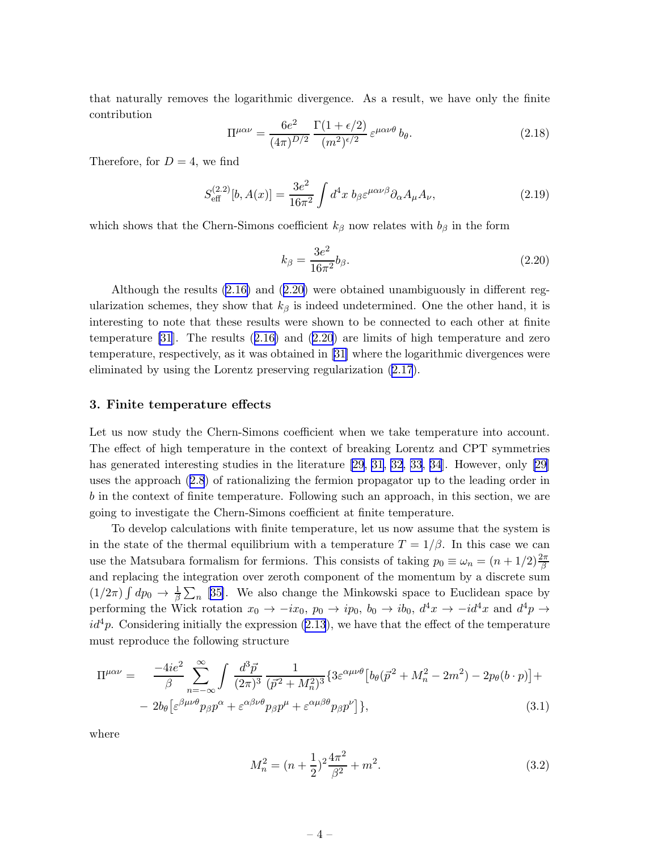<span id="page-4-0"></span>that naturally removes the logarithmic divergence. As a result, we have only the finite contribution

$$
\Pi^{\mu\alpha\nu} = \frac{6e^2}{(4\pi)^{D/2}} \frac{\Gamma(1+\epsilon/2)}{(m^2)^{\epsilon/2}} \varepsilon^{\mu\alpha\nu\theta} b_\theta.
$$
 (2.18)

Therefore, for  $D=4$ , we find

$$
S_{\text{eff}}^{(2.2)}[b, A(x)] = \frac{3e^2}{16\pi^2} \int d^4x \ b_{\beta} \varepsilon^{\mu\alpha\nu\beta} \partial_{\alpha} A_{\mu} A_{\nu}, \tag{2.19}
$$

which shows that the Chern-Simons coefficient  $k_\beta$  now relates with  $b_\beta$  in the form

$$
k_{\beta} = \frac{3e^2}{16\pi^2} b_{\beta}.
$$
\n(2.20)

Although the results [\(2.16\)](#page-3-0) and (2.20) were obtained unambiguously in different regularization schemes, they show that  $k_{\beta}$  is indeed undetermined. One the other hand, it is interesting to note that these results were shown to be connected to each other at finite temperature [\[31](#page-9-0)]. The results([2.16\)](#page-3-0) and (2.20) are limits of high temperature and zero temperature, respectively, as it was obtained in [\[31\]](#page-9-0) where the logarithmic divergences were eliminated by using the Lorentz preserving regularization ([2.17](#page-3-0)).

#### 3. Finite temperature effects

Let us now study the Chern-Simons coefficient when we take temperature into account. The effect of high temperature in the context of breaking Lorentz and CPT symmetries has generated interesting studies in the literature [\[29](#page-9-0), [31](#page-9-0), [32](#page-9-0), [33](#page-9-0), [34](#page-9-0)]. However, only [\[29\]](#page-9-0) uses the approach([2.8](#page-2-0)) of rationalizing the fermion propagator up to the leading order in b in the context of finite temperature. Following such an approach, in this section, we are going to investigate the Chern-Simons coefficient at finite temperature.

To develop calculations with finite temperature, let us now assume that the system is in the state of the thermal equilibrium with a temperature  $T = 1/\beta$ . In this case we can use the Matsubara formalism for fermions. This consists of taking  $p_0 \equiv \omega_n = (n + 1/2) \frac{2\pi}{\beta}$ and replacing the integration over zeroth component of the momentum by a discrete sum  $(1/2\pi)\int dp_0 \to \frac{1}{\beta}\sum_n$  [[35\]](#page-9-0). We also change the Minkowski space to Euclidean space by performing the Wick rotation  $x_0 \to -ix_0$ ,  $p_0 \to ip_0$ ,  $b_0 \to ib_0$ ,  $d^4x \to -id^4x$  and  $d^4p \to$  $id<sup>4</sup>p$ . Considering initially the expression [\(2.13](#page-3-0)), we have that the effect of the temperature must reproduce the following structure

$$
\Pi^{\mu\alpha\nu} = \frac{-4ie^2}{\beta} \sum_{n=-\infty}^{\infty} \int \frac{d^3\vec{p}}{(2\pi)^3} \frac{1}{(\vec{p}^2 + M_n^2)^3} \{3\varepsilon^{\alpha\mu\nu\theta} \left[b_\theta(\vec{p}^2 + M_n^2 - 2m^2) - 2p_\theta(b \cdot p)\right] +
$$
  
-  $2b_\theta \left[\varepsilon^{\beta\mu\nu\theta} p_\beta p^\alpha + \varepsilon^{\alpha\beta\nu\theta} p_\beta p^\mu + \varepsilon^{\alpha\mu\beta\theta} p_\beta p^\nu\right]\},$  (3.1)

where

$$
M_n^2 = (n + \frac{1}{2})^2 \frac{4\pi^2}{\beta^2} + m^2.
$$
 (3.2)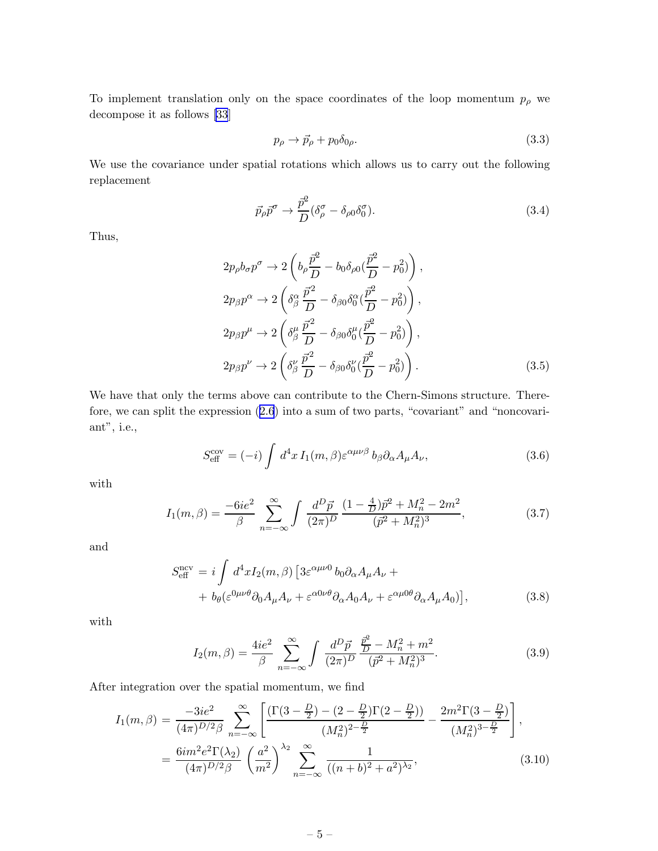To implement translation only on the space coordinates of the loop momentum  $p_{\rho}$  we decompose it as follows [\[33](#page-9-0)]

$$
p_{\rho} \to \vec{p}_{\rho} + p_0 \delta_{0\rho}.
$$
\n(3.3)

We use the covariance under spatial rotations which allows us to carry out the following replacement

$$
\vec{p}_{\rho}\vec{p}^{\sigma} \rightarrow \frac{\vec{p}^2}{D} (\delta^{\sigma}_{\rho} - \delta_{\rho 0} \delta^{\sigma}_0). \tag{3.4}
$$

Thus,

$$
2p_{\rho}b_{\sigma}p^{\sigma} \rightarrow 2\left(b_{\rho}\frac{\vec{p}^{2}}{D} - b_{0}\delta_{\rho 0}(\frac{\vec{p}^{2}}{D} - p_{0}^{2})\right),
$$
  
\n
$$
2p_{\beta}p^{\alpha} \rightarrow 2\left(\delta_{\beta}^{\alpha}\frac{\vec{p}^{2}}{D} - \delta_{\beta 0}\delta_{0}^{\alpha}(\frac{\vec{p}^{2}}{D} - p_{0}^{2})\right),
$$
  
\n
$$
2p_{\beta}p^{\mu} \rightarrow 2\left(\delta_{\beta}^{\mu}\frac{\vec{p}^{2}}{D} - \delta_{\beta 0}\delta_{0}^{\mu}(\frac{\vec{p}^{2}}{D} - p_{0}^{2})\right),
$$
  
\n
$$
2p_{\beta}p^{\nu} \rightarrow 2\left(\delta_{\beta}^{\nu}\frac{\vec{p}^{2}}{D} - \delta_{\beta 0}\delta_{0}^{\nu}(\frac{\vec{p}^{2}}{D} - p_{0}^{2})\right).
$$
\n(3.5)

We have that only the terms above can contribute to the Chern-Simons structure. Therefore, we can split the expression([2.6](#page-2-0)) into a sum of two parts, "covariant" and "noncovariant", i.e.,

$$
S_{\text{eff}}^{\text{cov}} = (-i) \int d^4x I_1(m,\beta) \varepsilon^{\alpha\mu\nu\beta} b_\beta \partial_\alpha A_\mu A_\nu, \qquad (3.6)
$$

with

$$
I_1(m,\beta) = \frac{-6ie^2}{\beta} \sum_{n=-\infty}^{\infty} \int \frac{d^D \vec{p}}{(2\pi)^D} \frac{(1-\frac{4}{D})\vec{p}^2 + M_n^2 - 2m^2}{(\vec{p}^2 + M_n^2)^3},
$$
(3.7)

and

$$
S_{\text{eff}}^{\text{ncv}} = i \int d^4x I_2(m,\beta) \left[ 3\varepsilon^{\alpha\mu\nu 0} b_0 \partial_\alpha A_\mu A_\nu + b_\theta (\varepsilon^{0\mu\nu\theta} \partial_0 A_\mu A_\nu + \varepsilon^{\alpha 0\nu\theta} \partial_\alpha A_0 A_\nu + \varepsilon^{\alpha \mu 0 \theta} \partial_\alpha A_\mu A_0) \right],
$$
(3.8)

with

$$
I_2(m,\beta) = \frac{4ie^2}{\beta} \sum_{n=-\infty}^{\infty} \int \frac{d^D \vec{p}}{(2\pi)^D} \frac{\frac{\vec{p}^2}{D} - M_n^2 + m^2}{(\vec{p}^2 + M_n^2)^3}.
$$
 (3.9)

After integration over the spatial momentum, we find

$$
I_1(m,\beta) = \frac{-3ie^2}{(4\pi)^{D/2}\beta} \sum_{n=-\infty}^{\infty} \left[ \frac{\left(\Gamma(3-\frac{D}{2}) - (2-\frac{D}{2})\Gamma(2-\frac{D}{2})\right)}{(M_n^2)^{2-\frac{D}{2}}} - \frac{2m^2\Gamma(3-\frac{D}{2})}{(M_n^2)^{3-\frac{D}{2}}} \right],
$$
  
= 
$$
\frac{6im^2e^2\Gamma(\lambda_2)}{(4\pi)^{D/2}\beta} \left(\frac{a^2}{m^2}\right)^{\lambda_2} \sum_{n=-\infty}^{\infty} \frac{1}{((n+b)^2+a^2)^{\lambda_2}},
$$
(3.10)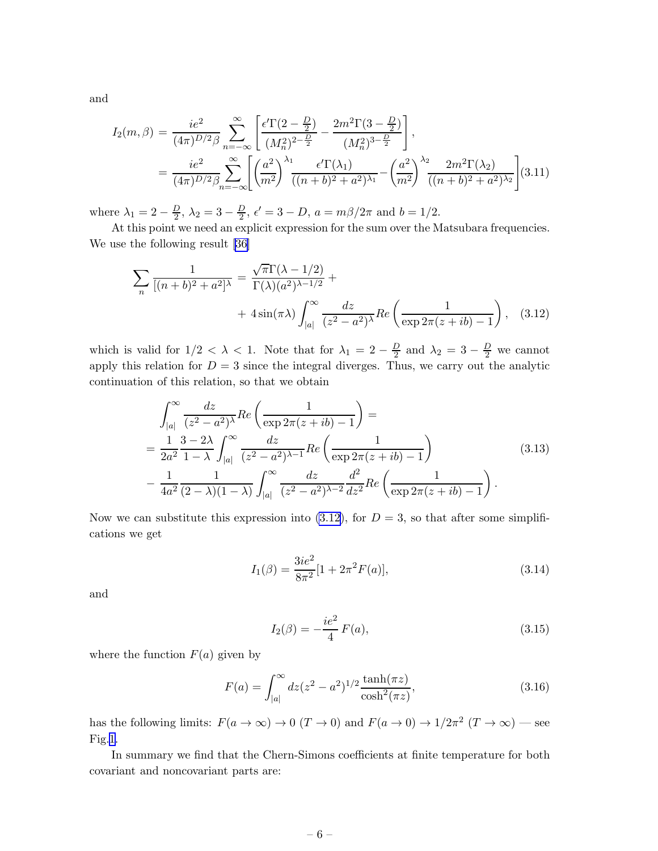and

$$
I_2(m,\beta) = \frac{ie^2}{(4\pi)^{D/2}\beta} \sum_{n=-\infty}^{\infty} \left[ \frac{\epsilon^{\prime} \Gamma(2-\frac{D}{2})}{(M_n^2)^{2-\frac{D}{2}}} - \frac{2m^2 \Gamma(3-\frac{D}{2})}{(M_n^2)^{3-\frac{D}{2}}} \right],
$$
  
= 
$$
\frac{ie^2}{(4\pi)^{D/2}\beta} \sum_{n=-\infty}^{\infty} \left[ \left( \frac{a^2}{m^2} \right)^{\lambda_1} \frac{\epsilon^{\prime} \Gamma(\lambda_1)}{((n+b)^2 + a^2)^{\lambda_1}} - \left( \frac{a^2}{m^2} \right)^{\lambda_2} \frac{2m^2 \Gamma(\lambda_2)}{((n+b)^2 + a^2)^{\lambda_2}} \right] (3.11)
$$

where  $\lambda_1 = 2 - \frac{D}{2}$  $\frac{D}{2}$ ,  $\lambda_2 = 3 - \frac{D}{2}$  $\frac{D}{2}$ ,  $\epsilon' = 3 - D$ ,  $a = m\beta/2\pi$  and  $b = 1/2$ .

At this point we need an explicit expression for the sum over the Matsubara frequencies. We use the following result [\[36](#page-9-0)]

$$
\sum_{n} \frac{1}{[(n+b)^2 + a^2]^\lambda} = \frac{\sqrt{\pi} \Gamma(\lambda - 1/2)}{\Gamma(\lambda)(a^2)^{\lambda - 1/2}} +
$$
  
+  $4 \sin(\pi \lambda) \int_{|a|}^{\infty} \frac{dz}{(z^2 - a^2)^{\lambda}} Re\left(\frac{1}{\exp 2\pi(z + ib) - 1}\right),$  (3.12)

which is valid for  $1/2 < \lambda < 1$ . Note that for  $\lambda_1 = 2 - \frac{D}{2}$  $\frac{D}{2}$  and  $\lambda_2 = 3 - \frac{D}{2}$  we cannot apply this relation for  $D = 3$  since the integral diverges. Thus, we carry out the analytic continuation of this relation, so that we obtain

$$
\int_{|a|}^{\infty} \frac{dz}{(z^2 - a^2)^{\lambda}} Re\left(\frac{1}{\exp 2\pi (z + ib) - 1}\right) =
$$
\n
$$
= \frac{1}{2a^2} \frac{3 - 2\lambda}{1 - \lambda} \int_{|a|}^{\infty} \frac{dz}{(z^2 - a^2)^{\lambda - 1}} Re\left(\frac{1}{\exp 2\pi (z + ib) - 1}\right)
$$
\n
$$
- \frac{1}{4a^2} \frac{1}{(2 - \lambda)(1 - \lambda)} \int_{|a|}^{\infty} \frac{dz}{(z^2 - a^2)^{\lambda - 2}} \frac{d^2}{dz^2} Re\left(\frac{1}{\exp 2\pi (z + ib) - 1}\right).
$$
\n(3.13)

Now we can substitute this expression into  $(3.12)$ , for  $D = 3$ , so that after some simplifications we get

$$
I_1(\beta) = \frac{3ie^2}{8\pi^2} [1 + 2\pi^2 F(a)],
$$
\n(3.14)

and

$$
I_2(\beta) = -\frac{ie^2}{4}F(a),
$$
\n(3.15)

where the function  $F(a)$  given by

$$
F(a) = \int_{|a|}^{\infty} dz (z^2 - a^2)^{1/2} \frac{\tanh(\pi z)}{\cosh^2(\pi z)},
$$
\n(3.16)

has the following limits:  $F(a \to \infty) \to 0$   $(T \to 0)$  and  $F(a \to 0) \to 1/2\pi^2$   $(T \to \infty)$  — see Fig.[1](#page-7-0).

In summary we find that the Chern-Simons coefficients at finite temperature for both covariant and noncovariant parts are: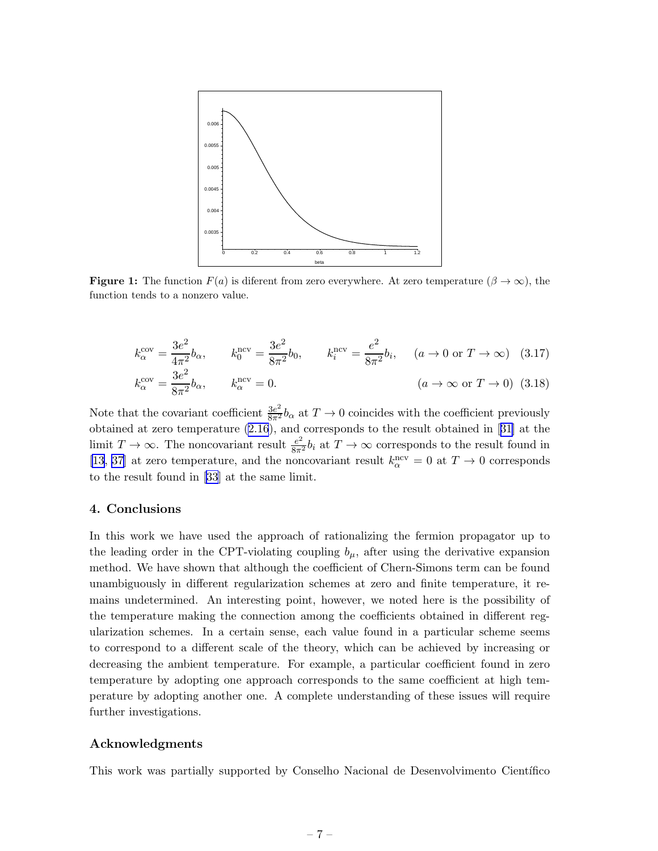<span id="page-7-0"></span>

**Figure 1:** The function  $F(a)$  is diferent from zero everywhere. At zero temperature  $(\beta \to \infty)$ , the function tends to a nonzero value.

$$
k_{\alpha}^{\text{cov}} = \frac{3e^2}{4\pi^2} b_{\alpha}, \qquad k_0^{\text{ncv}} = \frac{3e^2}{8\pi^2} b_0, \qquad k_i^{\text{ncv}} = \frac{e^2}{8\pi^2} b_i, \qquad (a \to 0 \text{ or } T \to \infty) \quad (3.17)
$$

$$
k_{\alpha}^{\text{cov}} = \frac{3e^2}{8\pi^2} b_{\alpha}, \qquad k_{\alpha}^{\text{ncv}} = 0. \qquad (a \to \infty \text{ or } T \to 0) \quad (3.18)
$$

Note that the covariant coefficient  $\frac{3e^2}{8\pi^2}b_{\alpha}$  at  $T\to 0$  coincides with the coefficient previously obtained at zero temperature [\(2.16](#page-3-0)), and corresponds to the result obtained in[[31\]](#page-9-0) at the limit  $T \to \infty$ . The noncovariant result  $\frac{e^2}{8\pi^2}b_i$  at  $T \to \infty$  corresponds to the result found in [\[13](#page-8-0), [37](#page-9-0)] at zero temperature, and the noncovariant result  $k_{\alpha}^{\text{ncv}} = 0$  at  $T \to 0$  corresponds to the result found in [\[33](#page-9-0)] at the same limit.

#### 4. Conclusions

In this work we have used the approach of rationalizing the fermion propagator up to the leading order in the CPT-violating coupling  $b_{\mu}$ , after using the derivative expansion method. We have shown that although the coefficient of Chern-Simons term can be found unambiguously in different regularization schemes at zero and finite temperature, it remains undetermined. An interesting point, however, we noted here is the possibility of the temperature making the connection among the coefficients obtained in different regularization schemes. In a certain sense, each value found in a particular scheme seems to correspond to a different scale of the theory, which can be achieved by increasing or decreasing the ambient temperature. For example, a particular coefficient found in zero temperature by adopting one approach corresponds to the same coefficient at high temperature by adopting another one. A complete understanding of these issues will require further investigations.

### Acknowledgments

This work was partially supported by Conselho Nacional de Desenvolvimento Científico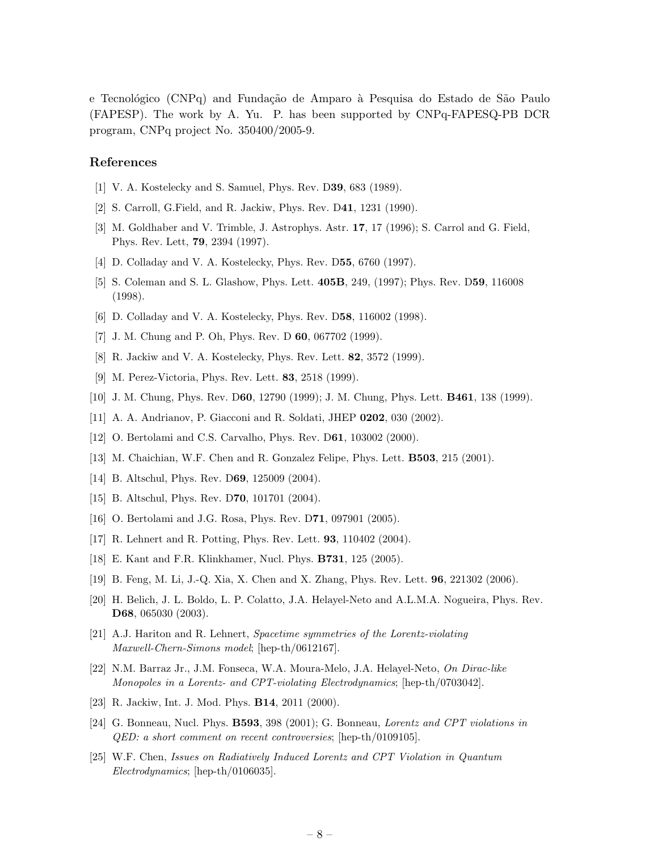<span id="page-8-0"></span>e Tecnológico (CNPq) and Fundação de Amparo à Pesquisa do Estado de São Paulo (FAPESP). The work by A. Yu. P. has been supported by CNPq-FAPESQ-PB DCR program, CNPq project No. 350400/2005-9.

### References

- [1] V. A. Kostelecky and S. Samuel, Phys. Rev. D39, 683 (1989).
- [2] S. Carroll, G.Field, and R. Jackiw, Phys. Rev. D41, 1231 (1990).
- [3] M. Goldhaber and V. Trimble, J. Astrophys. Astr. 17, 17 (1996); S. Carrol and G. Field, Phys. Rev. Lett, 79, 2394 (1997).
- [4] D. Colladay and V. A. Kostelecky, Phys. Rev. D55, 6760 (1997).
- [5] S. Coleman and S. L. Glashow, Phys. Lett. 405B, 249, (1997); Phys. Rev. D59, 116008 (1998).
- [6] D. Colladay and V. A. Kostelecky, Phys. Rev. D58, 116002 (1998).
- [7] J. M. Chung and P. Oh, Phys. Rev. D 60, 067702 (1999).
- [8] R. Jackiw and V. A. Kostelecky, Phys. Rev. Lett. 82, 3572 (1999).
- [9] M. Perez-Victoria, Phys. Rev. Lett. 83, 2518 (1999).
- [10] J. M. Chung, Phys. Rev. D60, 12790 (1999); J. M. Chung, Phys. Lett. B461, 138 (1999).
- [11] A. A. Andrianov, P. Giacconi and R. Soldati, JHEP 0202, 030 (2002).
- [12] O. Bertolami and C.S. Carvalho, Phys. Rev. D61, 103002 (2000).
- [13] M. Chaichian, W.F. Chen and R. Gonzalez Felipe, Phys. Lett. B503, 215 (2001).
- [14] B. Altschul, Phys. Rev. D69, 125009 (2004).
- [15] B. Altschul, Phys. Rev. D**70**, 101701 (2004).
- [16] O. Bertolami and J.G. Rosa, Phys. Rev. D71, 097901 (2005).
- [17] R. Lehnert and R. Potting, Phys. Rev. Lett. 93, 110402 (2004).
- [18] E. Kant and F.R. Klinkhamer, Nucl. Phys. B731, 125 (2005).
- [19] B. Feng, M. Li, J.-Q. Xia, X. Chen and X. Zhang, Phys. Rev. Lett. 96, 221302 (2006).
- [20] H. Belich, J. L. Boldo, L. P. Colatto, J.A. Helayel-Neto and A.L.M.A. Nogueira, Phys. Rev. D68, 065030 (2003).
- [21] A.J. Hariton and R. Lehnert, Spacetime symmetries of the Lorentz-violating Maxwell-Chern-Simons model; [hep-th/0612167].
- [22] N.M. Barraz Jr., J.M. Fonseca, W.A. Moura-Melo, J.A. Helayel-Neto, On Dirac-like Monopoles in a Lorentz- and CPT-violating Electrodynamics; [hep-th/0703042].
- [23] R. Jackiw, Int. J. Mod. Phys. B14, 2011 (2000).
- [24] G. Bonneau, Nucl. Phys. **B593**, 398 (2001); G. Bonneau, *Lorentz and CPT violations in* QED: a short comment on recent controversies; [hep-th/0109105].
- [25] W.F. Chen, Issues on Radiatively Induced Lorentz and CPT Violation in Quantum Electrodynamics; [hep-th/0106035].